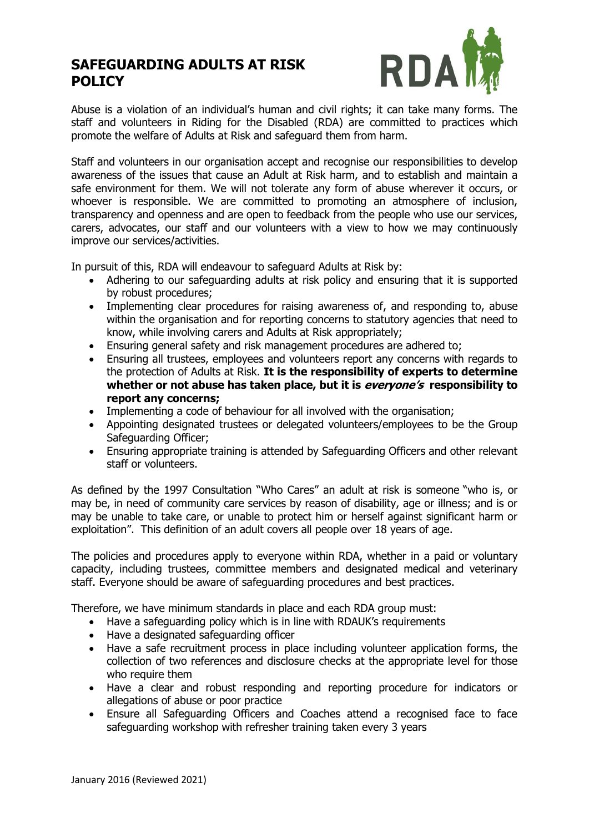# **SAFEGUARDING ADULTS AT RISK POLICY**



Abuse is a violation of an individual's human and civil rights; it can take many forms. The staff and volunteers in Riding for the Disabled (RDA) are committed to practices which promote the welfare of Adults at Risk and safeguard them from harm.

Staff and volunteers in our organisation accept and recognise our responsibilities to develop awareness of the issues that cause an Adult at Risk harm, and to establish and maintain a safe environment for them. We will not tolerate any form of abuse wherever it occurs, or whoever is responsible. We are committed to promoting an atmosphere of inclusion, transparency and openness and are open to feedback from the people who use our services, carers, advocates, our staff and our volunteers with a view to how we may continuously improve our services/activities.

In pursuit of this, RDA will endeavour to safeguard Adults at Risk by:

- Adhering to our safeguarding adults at risk policy and ensuring that it is supported by robust procedures;
- Implementing clear procedures for raising awareness of, and responding to, abuse within the organisation and for reporting concerns to statutory agencies that need to know, while involving carers and Adults at Risk appropriately;
- Ensuring general safety and risk management procedures are adhered to;
- Ensuring all trustees, employees and volunteers report any concerns with regards to the protection of Adults at Risk. **It is the responsibility of experts to determine whether or not abuse has taken place, but it is everyone's responsibility to report any concerns;**
- Implementing a code of behaviour for all involved with the organisation;
- Appointing designated trustees or delegated volunteers/employees to be the Group Safeguarding Officer;
- Ensuring appropriate training is attended by Safeguarding Officers and other relevant staff or volunteers.

As defined by the 1997 Consultation "Who Cares" an adult at risk is someone "who is, or may be, in need of community care services by reason of disability, age or illness; and is or may be unable to take care, or unable to protect him or herself against significant harm or exploitation". This definition of an adult covers all people over 18 years of age.

The policies and procedures apply to everyone within RDA, whether in a paid or voluntary capacity, including trustees, committee members and designated medical and veterinary staff. Everyone should be aware of safeguarding procedures and best practices.

Therefore, we have minimum standards in place and each RDA group must:

- Have a safeguarding policy which is in line with RDAUK's requirements
- Have a designated safeguarding officer
- Have a safe recruitment process in place including volunteer application forms, the collection of two references and disclosure checks at the appropriate level for those who require them
- Have a clear and robust responding and reporting procedure for indicators or allegations of abuse or poor practice
- Ensure all Safeguarding Officers and Coaches attend a recognised face to face safeguarding workshop with refresher training taken every 3 years